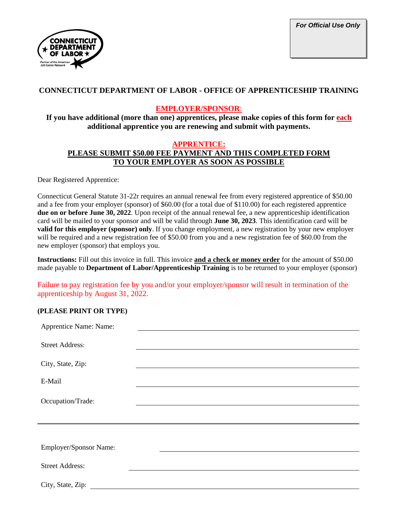**CONNECTICU DEPARTMEI** OF LAROR

*For Official Use Only*

## **CONNECTICUT DEPARTMENT OF LABOR - OFFICE OF APPRENTICESHIP TRAINING**

## **EMPLOYER/SPONSOR**:

**If you have additional (more than one) apprentices, please make copies of this form for each additional apprentice you are renewing and submit with payments.**

#### **APPRENTICE:**

## **PLEASE SUBMIT \$50.00 FEE PAYMENT AND THIS COMPLETED FORM TO YOUR EMPLOYER AS SOON AS POSSIBLE**

Dear Registered Apprentice:

Connecticut General Statute 31-22r requires an annual renewal fee from every registered apprentice of \$50.00 and a fee from your employer (sponsor) of \$60.00 (for a total due of \$110.00) for each registered apprentice **due on or before June 30, 2022**. Upon receipt of the annual renewal fee, a new apprenticeship identification card will be mailed to your sponsor and will be valid through **June 30, 2023**. This identification card will be **valid for this employer (sponsor) only**. If you change employment, a new registration by your new employer will be required and a new registration fee of \$50.00 from you and a new registration fee of \$60.00 from the new employer (sponsor) that employs you.

**Instructions:** Fill out this invoice in full. This invoice **and a check or money order** for the amount of \$50.00 made payable to **Department of Labor/Apprenticeship Training** is to be returned to your employer (sponsor)

Failure to pay registration fee by you and/or your employer/sponsor will result in termination of the apprenticeship by August 31, 2022.

### **(PLEASE PRINT OR TYPE)**

| Apprentice Name: Name: |  |
|------------------------|--|
| <b>Street Address:</b> |  |
| City, State, Zip:      |  |
| E-Mail                 |  |
| Occupation/Trade:      |  |
|                        |  |
|                        |  |
| Employer/Sponsor Name: |  |
| <b>Street Address:</b> |  |
| City, State, Zip:      |  |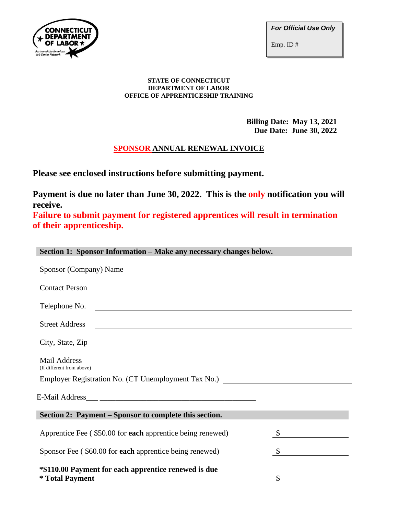

*For Official Use Only*

Emp. ID #

#### **STATE OF CONNECTICUT DEPARTMENT OF LABOR OFFICE OF APPRENTICESHIP TRAINING**

**Billing Date: May 13, 2021 Due Date: June 30, 2022**

# **SPONSOR ANNUAL RENEWAL INVOICE**

**Please see enclosed instructions before submitting payment.**

**Payment is due no later than June 30, 2022. This is the only notification you will receive.**

**Failure to submit payment for registered apprentices will result in termination of their apprenticeship.**

| Section 1: Sponsor Information – Make any necessary changes below.                                                                                                   |                                              |  |
|----------------------------------------------------------------------------------------------------------------------------------------------------------------------|----------------------------------------------|--|
| Sponsor (Company) Name                                                                                                                                               |                                              |  |
| <b>Contact Person</b><br><u> 1989 - Johann Harry Harry Harry Harry Harry Harry Harry Harry Harry Harry Harry Harry Harry Harry Harry Harry</u>                       |                                              |  |
| Telephone No.                                                                                                                                                        |                                              |  |
| <b>Street Address</b>                                                                                                                                                |                                              |  |
| City, State, Zip                                                                                                                                                     |                                              |  |
| <b>Mail Address</b><br>and the control of the control of the control of the control of the control of the control of the control of the<br>(If different from above) |                                              |  |
| Employer Registration No. (CT Unemployment Tax No.) _____________________________                                                                                    |                                              |  |
|                                                                                                                                                                      |                                              |  |
| Section 2: Payment – Sponsor to complete this section.                                                                                                               |                                              |  |
| Apprentice Fee (\$50.00 for each apprentice being renewed)                                                                                                           | $\frac{\text{S}}{\text{S}}$                  |  |
| Sponsor Fee (\$60.00 for each apprentice being renewed)                                                                                                              | <u> 1999 - Jan Barnett, fransk politiker</u> |  |
| *\$110.00 Payment for each apprentice renewed is due<br><i><b>* Total Payment</b></i>                                                                                | \$                                           |  |